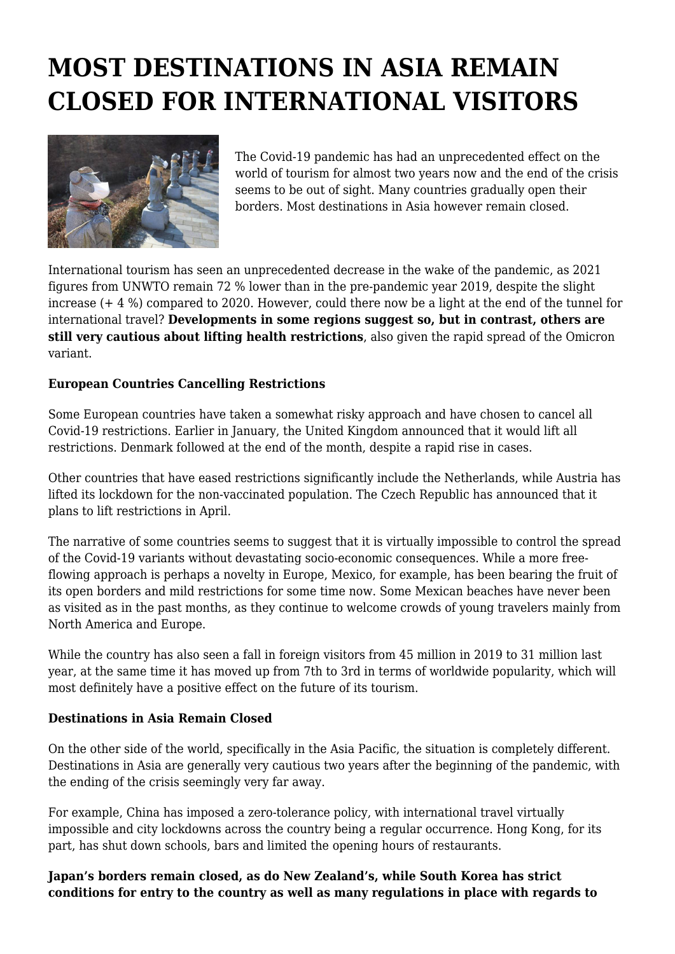## **MOST DESTINATIONS IN ASIA REMAIN CLOSED FOR INTERNATIONAL VISITORS**



The Covid-19 pandemic has had an unprecedented effect on the world of tourism for almost two years now and the end of the crisis seems to be out of sight. Many countries gradually open their borders. Most destinations in Asia however remain closed.

International tourism has seen an unprecedented decrease in the wake of the pandemic, as 2021 figures from UNWTO remain 72 % lower than in the pre-pandemic year 2019, despite the slight increase (+ 4 %) compared to 2020. However, could there now be a light at the end of the tunnel for international travel? **Developments in some regions suggest so, but in contrast, others are still very cautious about lifting health restrictions**, also given the rapid spread of the Omicron variant.

## **European Countries Cancelling Restrictions**

Some European countries have taken a somewhat risky approach and have chosen to cancel all Covid-19 restrictions. Earlier in January, the United Kingdom announced that it would lift all restrictions. Denmark followed at the end of the month, despite a rapid rise in cases.

Other countries that have eased restrictions significantly include the Netherlands, while Austria has lifted its lockdown for the non-vaccinated population. The Czech Republic has announced that it plans to lift restrictions in April.

The narrative of some countries seems to suggest that it is virtually impossible to control the spread of the Covid-19 variants without devastating socio-economic consequences. While a more freeflowing approach is perhaps a novelty in Europe, Mexico, for example, has been bearing the fruit of its open borders and mild restrictions for some time now. Some Mexican beaches have never been as visited as in the past months, as they continue to welcome crowds of young travelers mainly from North America and Europe.

While the country has also seen a fall in foreign visitors from 45 million in 2019 to 31 million last year, at the same time it has moved up from 7th to 3rd in terms of worldwide popularity, which will most definitely have a positive effect on the future of its tourism.

## **Destinations in Asia Remain Closed**

On the other side of the world, specifically in the Asia Pacific, the situation is completely different. Destinations in Asia are generally very cautious two years after the beginning of the pandemic, with the ending of the crisis seemingly very far away.

For example, China has imposed a zero-tolerance policy, with international travel virtually impossible and city lockdowns across the country being a regular occurrence. Hong Kong, for its part, has shut down schools, bars and limited the opening hours of restaurants.

**Japan's borders remain closed, as do New Zealand's, while South Korea has strict conditions for entry to the country as well as many regulations in place with regards to**